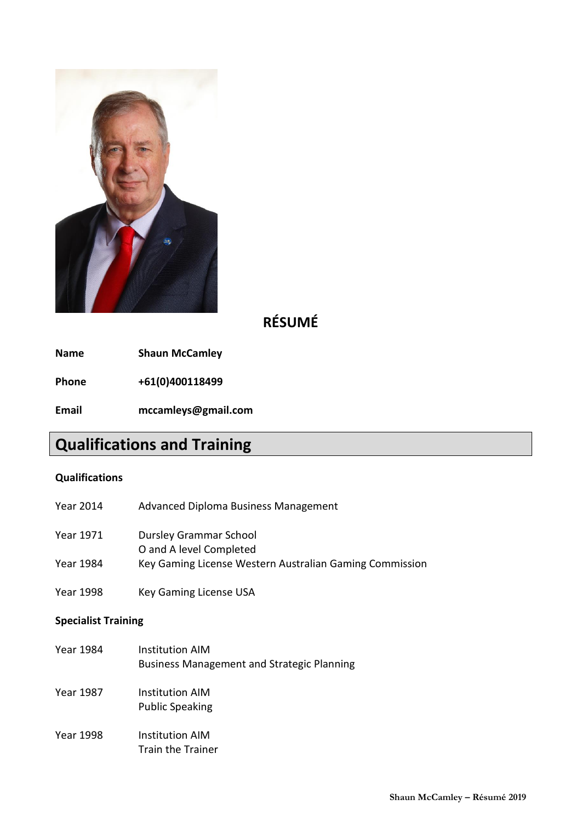

# **RÉSUMÉ**

**Name Shaun McCamley**

**Phone +61(0)400118499**

**Email mccamleys@gmail.com**

# **Qualifications and Training**

# **Qualifications**

- Year 2014 Advanced Diploma Business Management
- Year 1971 Dursley Grammar School
	- O and A level Completed
- Year 1984 Key Gaming License Western Australian Gaming Commission
- Year 1998 Key Gaming License USA

## **Specialist Training**

| Year 1984        | Institution AIM<br><b>Business Management and Strategic Planning</b> |
|------------------|----------------------------------------------------------------------|
| <b>Year 1987</b> | Institution AIM<br><b>Public Speaking</b>                            |
| Year 1998        | Institution AIM<br><b>Train the Trainer</b>                          |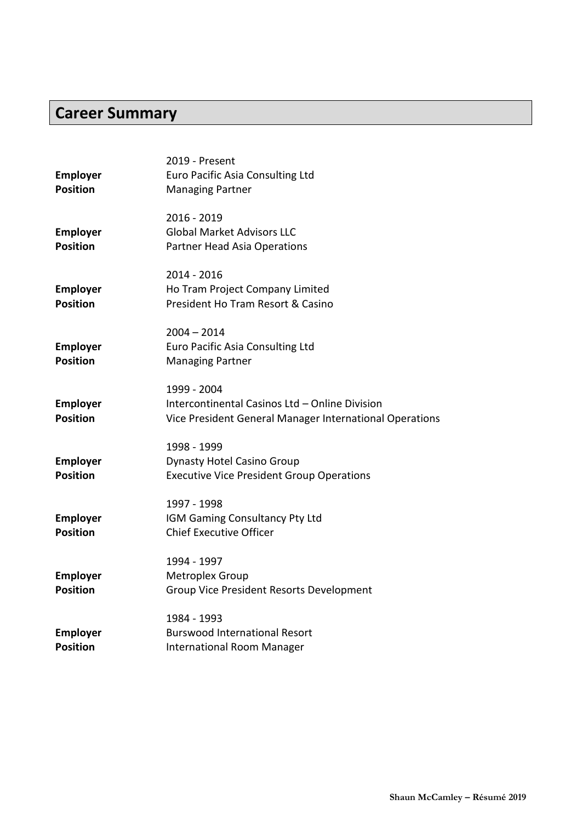# **Career Summary**

|                 | 2019 - Present                                          |
|-----------------|---------------------------------------------------------|
| <b>Employer</b> | Euro Pacific Asia Consulting Ltd                        |
| <b>Position</b> | <b>Managing Partner</b>                                 |
|                 | 2016 - 2019                                             |
| <b>Employer</b> | <b>Global Market Advisors LLC</b>                       |
| <b>Position</b> | <b>Partner Head Asia Operations</b>                     |
|                 | 2014 - 2016                                             |
| <b>Employer</b> | Ho Tram Project Company Limited                         |
| <b>Position</b> | President Ho Tram Resort & Casino                       |
|                 | 2004 – 2014                                             |
| <b>Employer</b> | Euro Pacific Asia Consulting Ltd                        |
| <b>Position</b> | <b>Managing Partner</b>                                 |
|                 | 1999 - 2004                                             |
| <b>Employer</b> | Intercontinental Casinos Ltd - Online Division          |
| <b>Position</b> | Vice President General Manager International Operations |
|                 | 1998 - 1999                                             |
| <b>Employer</b> | <b>Dynasty Hotel Casino Group</b>                       |
| <b>Position</b> | <b>Executive Vice President Group Operations</b>        |
|                 | 1997 - 1998                                             |
| <b>Employer</b> | IGM Gaming Consultancy Pty Ltd                          |
| <b>Position</b> | <b>Chief Executive Officer</b>                          |
|                 | 1994 - 1997                                             |
| <b>Employer</b> | Metroplex Group                                         |
| <b>Position</b> | Group Vice President Resorts Development                |
|                 | 1984 - 1993                                             |
| <b>Employer</b> | <b>Burswood International Resort</b>                    |
| <b>Position</b> | <b>International Room Manager</b>                       |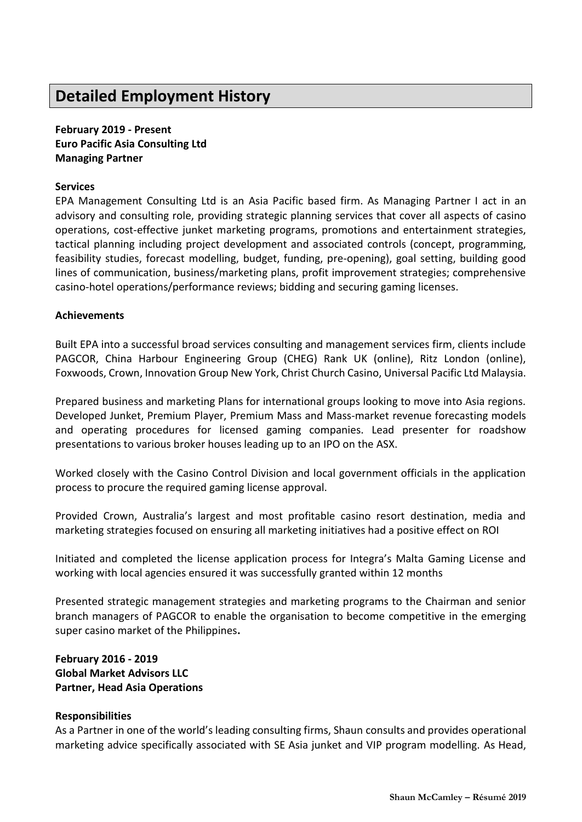# **Detailed Employment History**

**February 2019 - Present Euro Pacific Asia Consulting Ltd Managing Partner**

## **Services**

EPA Management Consulting Ltd is an Asia Pacific based firm. As Managing Partner I act in an advisory and consulting role, providing strategic planning services that cover all aspects of casino operations, cost-effective junket marketing programs, promotions and entertainment strategies, tactical planning including project development and associated controls (concept, programming, feasibility studies, forecast modelling, budget, funding, pre-opening), goal setting, building good lines of communication, business/marketing plans, profit improvement strategies; comprehensive casino-hotel operations/performance reviews; bidding and securing gaming licenses.

#### **Achievements**

Built EPA into a successful broad services consulting and management services firm, clients include PAGCOR, China Harbour Engineering Group (CHEG) Rank UK (online), Ritz London (online), Foxwoods, Crown, Innovation Group New York, Christ Church Casino, Universal Pacific Ltd Malaysia.

Prepared business and marketing Plans for international groups looking to move into Asia regions. Developed Junket, Premium Player, Premium Mass and Mass-market revenue forecasting models and operating procedures for licensed gaming companies. Lead presenter for roadshow presentations to various broker houses leading up to an IPO on the ASX.

Worked closely with the Casino Control Division and local government officials in the application process to procure the required gaming license approval.

Provided Crown, Australia's largest and most profitable casino resort destination, media and marketing strategies focused on ensuring all marketing initiatives had a positive effect on ROI

Initiated and completed the license application process for Integra's Malta Gaming License and working with local agencies ensured it was successfully granted within 12 months

Presented strategic management strategies and marketing programs to the Chairman and senior branch managers of PAGCOR to enable the organisation to become competitive in the emerging super casino market of the Philippines**.**

# **February 2016 - 2019 Global Market Advisors LLC Partner, Head Asia Operations**

#### **Responsibilities**

As a Partner in one of the world's leading consulting firms, Shaun consults and provides operational marketing advice specifically associated with SE Asia junket and VIP program modelling. As Head,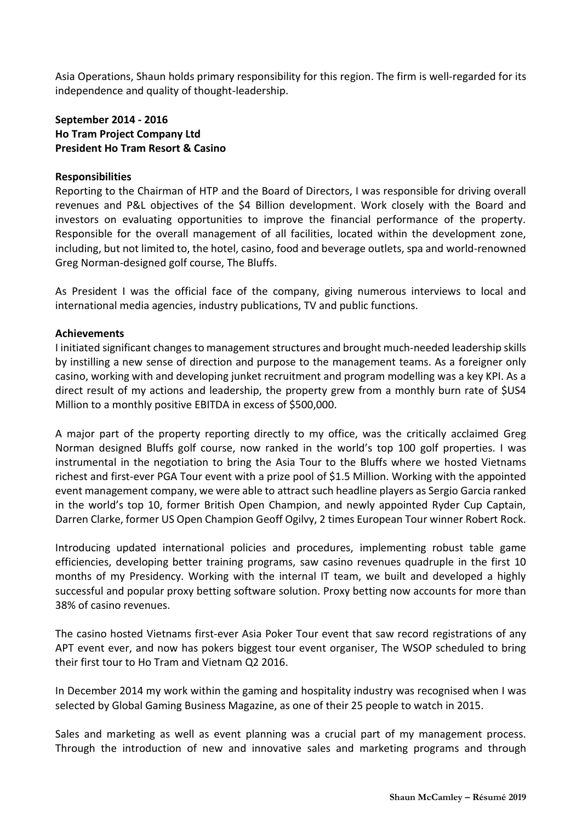Asia Operations, Shaun holds primary responsibility for this region. The firm is well-regarded for its independence and quality of thought-leadership.

# **September 2014 - 2016 Ho Tram Project Company Ltd President Ho Tram Resort & Casino**

## **Responsibilities**

Reporting to the Chairman of HTP and the Board of Directors, I was responsible for driving overall revenues and P&L objectives of the \$4 Billion development. Work closely with the Board and investors on evaluating opportunities to improve the financial performance of the property. Responsible for the overall management of all facilities, located within the development zone, including, but not limited to, the hotel, casino, food and beverage outlets, spa and world-renowned Greg Norman-designed golf course, The Bluffs.

As President I was the official face of the company, giving numerous interviews to local and international media agencies, industry publications, TV and public functions.

#### **Achievements**

I initiated significant changes to management structures and brought much-needed leadership skills by instilling a new sense of direction and purpose to the management teams. As a foreigner only casino, working with and developing junket recruitment and program modelling was a key KPI. As a direct result of my actions and leadership, the property grew from a monthly burn rate of \$US4 Million to a monthly positive EBITDA in excess of \$500,000.

A major part of the property reporting directly to my office, was the critically acclaimed Greg Norman designed Bluffs golf course, now ranked in the world's top 100 golf properties. I was instrumental in the negotiation to bring the Asia Tour to the Bluffs where we hosted Vietnams richest and first-ever PGA Tour event with a prize pool of \$1.5 Million. Working with the appointed event management company, we were able to attract such headline players as Sergio Garcia ranked in the world's top 10, former British Open Champion, and newly appointed Ryder Cup Captain, Darren Clarke, former US Open Champion Geoff Ogilvy, 2 times European Tour winner Robert Rock.

Introducing updated international policies and procedures, implementing robust table game efficiencies, developing better training programs, saw casino revenues quadruple in the first 10 months of my Presidency. Working with the internal IT team, we built and developed a highly successful and popular proxy betting software solution. Proxy betting now accounts for more than 38% of casino revenues.

The casino hosted Vietnams first-ever Asia Poker Tour event that saw record registrations of any APT event ever, and now has pokers biggest tour event organiser, The WSOP scheduled to bring their first tour to Ho Tram and Vietnam Q2 2016.

In December 2014 my work within the gaming and hospitality industry was recognised when I was selected by Global Gaming Business Magazine, as one of their 25 people to watch in 2015.

Sales and marketing as well as event planning was a crucial part of my management process. Through the introduction of new and innovative sales and marketing programs and through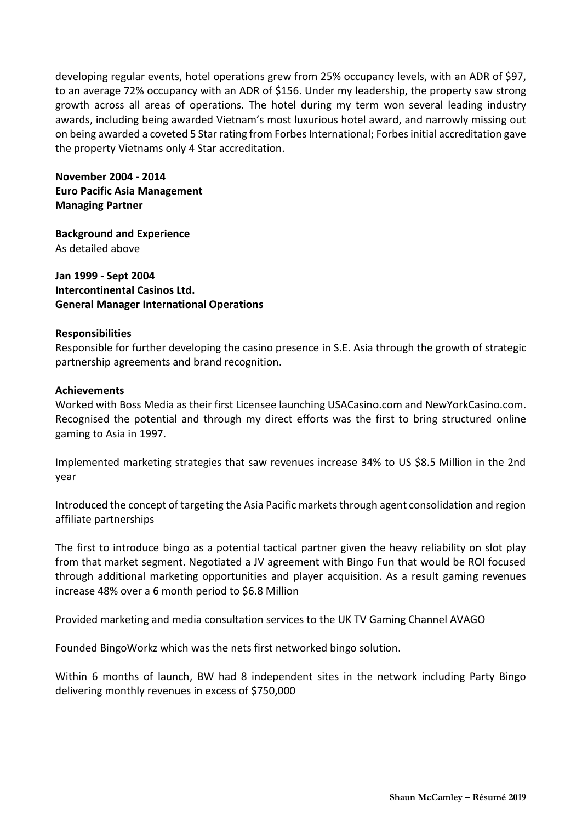developing regular events, hotel operations grew from 25% occupancy levels, with an ADR of \$97, to an average 72% occupancy with an ADR of \$156. Under my leadership, the property saw strong growth across all areas of operations. The hotel during my term won several leading industry awards, including being awarded Vietnam's most luxurious hotel award, and narrowly missing out on being awarded a coveted 5 Star rating from Forbes International; Forbes initial accreditation gave the property Vietnams only 4 Star accreditation.

**November 2004 - 2014 Euro Pacific Asia Management Managing Partner**

**Background and Experience** As detailed above

**Jan 1999 - Sept 2004 Intercontinental Casinos Ltd. General Manager International Operations**

#### **Responsibilities**

Responsible for further developing the casino presence in S.E. Asia through the growth of strategic partnership agreements and brand recognition.

#### **Achievements**

Worked with Boss Media as their first Licensee launching USACasino.com and NewYorkCasino.com. Recognised the potential and through my direct efforts was the first to bring structured online gaming to Asia in 1997.

Implemented marketing strategies that saw revenues increase 34% to US \$8.5 Million in the 2nd year

Introduced the concept of targeting the Asia Pacific markets through agent consolidation and region affiliate partnerships

The first to introduce bingo as a potential tactical partner given the heavy reliability on slot play from that market segment. Negotiated a JV agreement with Bingo Fun that would be ROI focused through additional marketing opportunities and player acquisition. As a result gaming revenues increase 48% over a 6 month period to \$6.8 Million

Provided marketing and media consultation services to the UK TV Gaming Channel AVAGO

Founded BingoWorkz which was the nets first networked bingo solution.

Within 6 months of launch, BW had 8 independent sites in the network including Party Bingo delivering monthly revenues in excess of \$750,000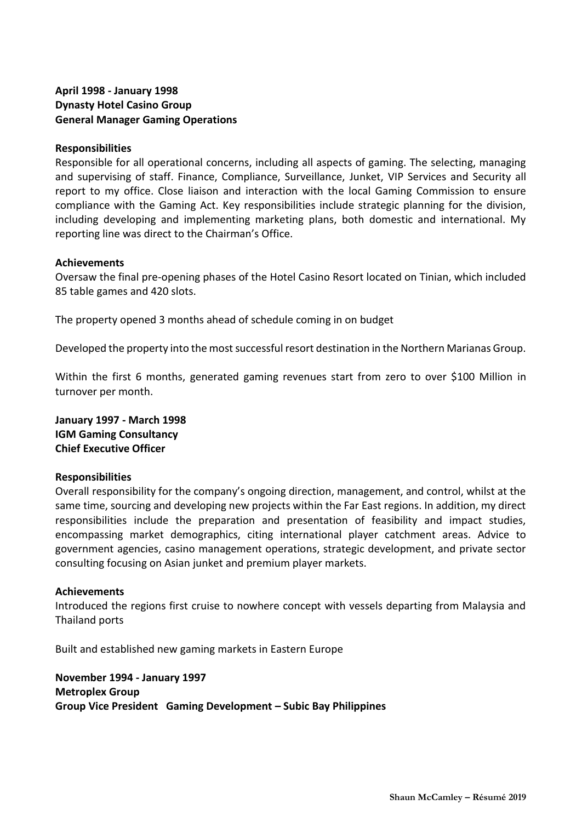# **April 1998 - January 1998 Dynasty Hotel Casino Group General Manager Gaming Operations**

### **Responsibilities**

Responsible for all operational concerns, including all aspects of gaming. The selecting, managing and supervising of staff. Finance, Compliance, Surveillance, Junket, VIP Services and Security all report to my office. Close liaison and interaction with the local Gaming Commission to ensure compliance with the Gaming Act. Key responsibilities include strategic planning for the division, including developing and implementing marketing plans, both domestic and international. My reporting line was direct to the Chairman's Office.

#### **Achievements**

Oversaw the final pre-opening phases of the Hotel Casino Resort located on Tinian, which included 85 table games and 420 slots.

The property opened 3 months ahead of schedule coming in on budget

Developed the property into the most successful resort destination in the Northern Marianas Group.

Within the first 6 months, generated gaming revenues start from zero to over \$100 Million in turnover per month.

**January 1997 - March 1998 IGM Gaming Consultancy Chief Executive Officer**

## **Responsibilities**

Overall responsibility for the company's ongoing direction, management, and control, whilst at the same time, sourcing and developing new projects within the Far East regions. In addition, my direct responsibilities include the preparation and presentation of feasibility and impact studies, encompassing market demographics, citing international player catchment areas. Advice to government agencies, casino management operations, strategic development, and private sector consulting focusing on Asian junket and premium player markets.

## **Achievements**

Introduced the regions first cruise to nowhere concept with vessels departing from Malaysia and Thailand ports

Built and established new gaming markets in Eastern Europe

**November 1994 - January 1997 Metroplex Group Group Vice President Gaming Development – Subic Bay Philippines**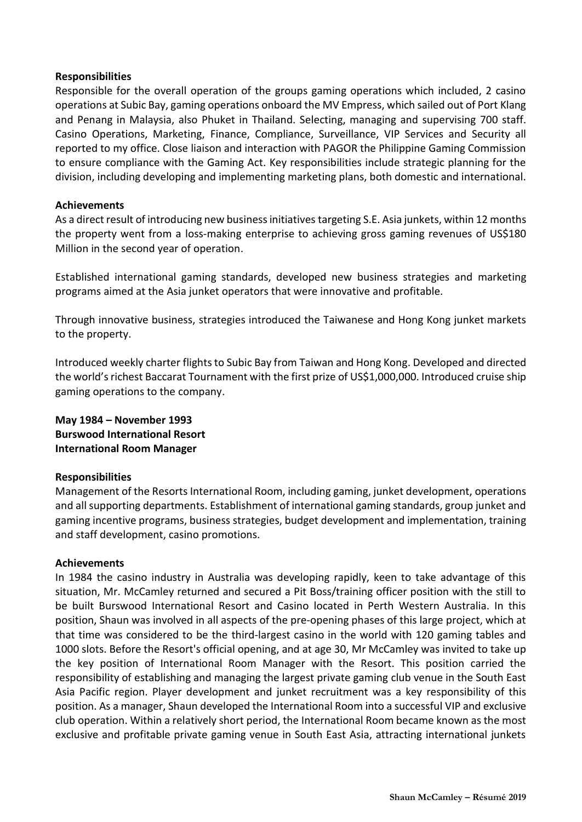#### **Responsibilities**

Responsible for the overall operation of the groups gaming operations which included, 2 casino operations at Subic Bay, gaming operations onboard the MV Empress, which sailed out of Port Klang and Penang in Malaysia, also Phuket in Thailand. Selecting, managing and supervising 700 staff. Casino Operations, Marketing, Finance, Compliance, Surveillance, VIP Services and Security all reported to my office. Close liaison and interaction with PAGOR the Philippine Gaming Commission to ensure compliance with the Gaming Act. Key responsibilities include strategic planning for the division, including developing and implementing marketing plans, both domestic and international.

#### **Achievements**

As a direct result of introducing new business initiatives targeting S.E. Asia junkets, within 12 months the property went from a loss-making enterprise to achieving gross gaming revenues of US\$180 Million in the second year of operation.

Established international gaming standards, developed new business strategies and marketing programs aimed at the Asia junket operators that were innovative and profitable.

Through innovative business, strategies introduced the Taiwanese and Hong Kong junket markets to the property.

Introduced weekly charter flights to Subic Bay from Taiwan and Hong Kong. Developed and directed the world's richest Baccarat Tournament with the first prize of US\$1,000,000. Introduced cruise ship gaming operations to the company.

# **May 1984 – November 1993 Burswood International Resort International Room Manager**

## **Responsibilities**

Management of the Resorts International Room, including gaming, junket development, operations and all supporting departments. Establishment of international gaming standards, group junket and gaming incentive programs, business strategies, budget development and implementation, training and staff development, casino promotions.

## **Achievements**

In 1984 the casino industry in Australia was developing rapidly, keen to take advantage of this situation, Mr. McCamley returned and secured a Pit Boss/training officer position with the still to be built Burswood International Resort and Casino located in Perth Western Australia. In this position, Shaun was involved in all aspects of the pre-opening phases of this large project, which at that time was considered to be the third-largest casino in the world with 120 gaming tables and 1000 slots. Before the Resort's official opening, and at age 30, Mr McCamley was invited to take up the key position of International Room Manager with the Resort. This position carried the responsibility of establishing and managing the largest private gaming club venue in the South East Asia Pacific region. Player development and junket recruitment was a key responsibility of this position. As a manager, Shaun developed the International Room into a successful VIP and exclusive club operation. Within a relatively short period, the International Room became known as the most exclusive and profitable private gaming venue in South East Asia, attracting international junkets